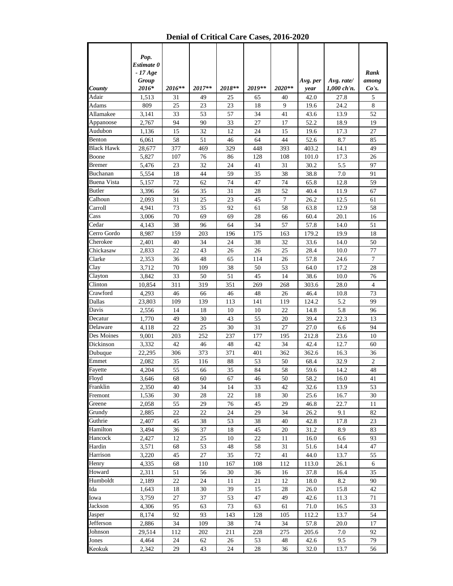|                   | Pop.<br>Estimate 0<br>$-17Age$ |        |        |        |          |           |                  |                                | Rank           |
|-------------------|--------------------------------|--------|--------|--------|----------|-----------|------------------|--------------------------------|----------------|
| County            | Group<br>2016*                 | 2016** | 2017** | 2018** | 2019**   | 2020**    | Avg. per<br>year | $Avg. \, rate/$<br>1,000 ch'n. | among<br>Co's. |
| Adair             | 1,513                          | 31     | 49     | 25     | 65       | 40        | 42.0             | 27.8                           | 5              |
| Adams             | 809                            | 25     | 23     | 23     | 18       | 9         | 19.6             | 24.2                           | 8              |
| Allamakee         | 3,141                          | 33     | 53     | 57     | 34       | 41        | 43.6             | 13.9                           | 52             |
| Appanoose         | 2,767                          | 94     | 90     | 33     | 27       | 17        | 52.2             | 18.9                           | 19             |
| Audubon           | 1,136                          | 15     | 32     | 12     | 24       | 15        | 19.6             | 17.3                           | 27             |
| Benton            | 6,061                          | 58     | 51     | 46     | 64       | 44        | 52.6             | 8.7                            | 85             |
| <b>Black Hawk</b> | 28,677                         | 377    | 469    | 329    | 448      | 393       | 403.2            | 14.1                           | 49             |
| Boone             | 5,827                          | 107    | 76     | 86     | 128      | 108       | 101.0            | 17.3                           | 26             |
| Bremer            | 5,476                          | 23     | 32     | 24     | 41       | 31        | 30.2             | 5.5                            | 97             |
| Buchanan          | 5,554                          | 18     | 44     | 59     | 35       | 38        | 38.8             | 7.0                            | 91             |
| Buena Vista       | 5,157                          | 72     | 62     | 74     | 47       | 74        | 65.8             | 12.8                           | 59             |
| Butler            | 3.396                          | 56     | 35     | 31     | 28       | 52        | 40.4             | 11.9                           | 67             |
| Calhoun           |                                | 31     | 25     | 23     | 45       | 7         | 26.2             | 12.5                           |                |
| Carroll           | 2,093<br>4,941                 | 73     | 35     | 92     | 61       | 58        | 63.8             | 12.9                           | 61<br>58       |
|                   |                                | 70     | 69     | 69     |          |           |                  | 20.1                           | 16             |
| Cass<br>Cedar     | 3,006                          | 38     | 96     | 64     | 28<br>34 | 66        | 60.4             |                                |                |
| Cerro Gordo       | 4,143                          | 159    |        | 196    |          | 57<br>163 | 57.8<br>179.2    | 14.0<br>19.9                   | 51<br>18       |
|                   | 8,987                          |        | 203    |        | 175      |           |                  |                                |                |
| Cherokee          | 2,401                          | 40     | 34     | 24     | 38       | 32        | 33.6             | 14.0                           | 50             |
| Chickasaw         | 2,833                          | 22     | 43     | 26     | 26       | 25        | 28.4             | 10.0                           | 77             |
| Clarke            | 2,353                          | 36     | 48     | 65     | 114      | 26        | 57.8             | 24.6                           | 7              |
| Clay              | 3,712                          | 70     | 109    | 38     | 50       | 53        | 64.0             | 17.2                           | 28             |
| Clayton           | 3,842                          | 33     | 50     | 51     | 45       | 14        | 38.6             | 10.0                           | 76             |
| Clinton           | 10,854                         | 311    | 319    | 351    | 269      | 268       | 303.6            | 28.0                           | 4              |
| Crawford          | 4,293                          | 46     | 66     | 46     | 48       | 26        | 46.4             | 10.8                           | 73             |
| Dallas            | 23,803                         | 109    | 139    | 113    | 141      | 119       | 124.2            | 5.2                            | 99             |
| Davis             | 2,556                          | 14     | 18     | 10     | 10       | 22        | 14.8             | 5.8                            | 96             |
| Decatur           | 1,770                          | 49     | 30     | 43     | 55       | 20        | 39.4             | 22.3                           | 13             |
| Delaware          | 4,118                          | 22     | 25     | 30     | 31       | 27        | 27.0             | 6.6                            | 94             |
| Des Moines        | 9.001                          | 203    | 252    | 237    | 177      | 195       | 212.8            | 23.6                           | 10             |
| Dickinson         | 3.332                          | 42     | 46     | 48     | 42       | 34        | 42.4             | 12.7                           | 60             |
| Dubuque           | 22,295                         | 306    | 373    | 371    | 401      | 362       | 362.6            | 16.3                           | 36             |
| Emmet             | 2.082                          | 35     | 116    | 88     | 53       | 50        | 68.4             | 32.9                           | $\overline{2}$ |
| Fayette           | 4,204                          | 55     | 66     | 35     | 84       | 58        | 59.6             | 14.2                           | 48             |
| Floyd             | 3,646                          | 68     | 60     | 67     | 46       | 50        | 58.2             | 16.0                           | 41             |
| Franklin          | 2,350                          | 40     | 34     | 14     | 33       | 42        | 32.6             | 13.9                           | 53             |
| Fremont           | 1,536                          | 30     | 28     | 22     | 18       | 30        | 25.6             | 16.7                           | 30             |
| Greene            | 2,058                          | 55     | 29     | 76     | 45       | 29        | 46.8             | 22.7                           | 11             |
| Grundy            | 2,885                          | 22     | $22\,$ | 24     | 29       | 34        | 26.2             | 9.1                            | 82             |
| Guthrie           | 2,407                          | 45     | 38     | 53     | 38       | 40        | 42.8             | 17.8                           | 23             |
| Hamilton          | 3,494                          | 36     | 37     | 18     | 45       | 20        | 31.2             | 8.9                            | 83             |
| Hancock           | 2,427                          | 12     | 25     | 10     | 22       | 11        | 16.0             | 6.6                            | 93             |
| Hardin            | 3,571                          | 68     | 53     | 48     | 58       | 31        | 51.6             | 14.4                           | 47             |
| Harrison          | 3,220                          | 45     | 27     | 35     | 72       | 41        | 44.0             | 13.7                           | 55             |
| Henry             | 4,335                          | 68     | 110    | 167    | 108      | 112       | 113.0            | 26.1                           | 6              |
| Howard            | 2,311                          | 51     | 56     | 30     | 36       | 16        | 37.8             | 16.4                           | 35             |
| Humboldt          | 2,189                          | 22     | 24     | 11     | 21       | 12        | 18.0             | 8.2                            | 90             |
| Ida               | 1,643                          | 18     | 30     | 39     | 15       | 28        | 26.0             | 15.8                           | 42             |
| Iowa              | 3,759                          | 27     | 37     | 53     | 47       | 49        | 42.6             | 11.3                           | 71             |
| Jackson           | 4,306                          | 95     | 63     | 73     | 63       | 61        | 71.0             | 16.5                           | 33             |
| Jasper            | 8,174                          | 92     | 93     | 143    | 128      | 105       | 112.2            | 13.7                           | 54             |
| Jefferson         | 2,886                          | 34     | 109    | $38\,$ | 74       | 34        | 57.8             | 20.0                           | 17             |
| Johnson           | 29,514                         | 112    | 202    | 211    | 228      | 275       | 205.6            | 7.0                            | 92             |
| Jones             | 4,464                          | 24     | 62     | 26     | 53       | 48        | 42.6             | 9.5                            | 79             |
| Keokuk            | 2,342                          | 29     | 43     | 24     | 28       | 36        | 32.0             | 13.7                           | 56             |